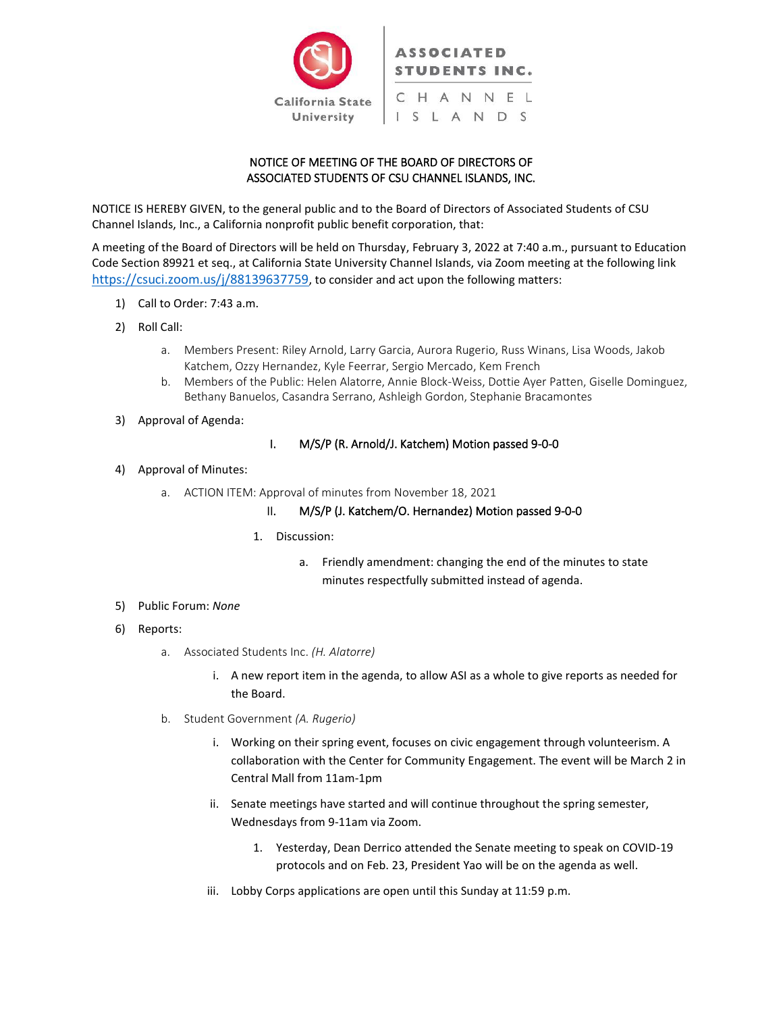

# NOTICE OF MEETING OF THE BOARD OF DIRECTORS OF ASSOCIATED STUDENTS OF CSU CHANNEL ISLANDS, INC.

NOTICE IS HEREBY GIVEN, to the general public and to the Board of Directors of Associated Students of CSU Channel Islands, Inc., a California nonprofit public benefit corporation, that:

A meeting of the Board of Directors will be held on Thursday, February 3, 2022 at 7:40 a.m., pursuant to Education Code Section 89921 et seq., at California State University Channel Islands, via Zoom meeting at the following link <https://csuci.zoom.us/j/88139637759>, to consider and act upon the following matters:

- 1) Call to Order: 7:43 a.m.
- 2) Roll Call:
	- a. Members Present: Riley Arnold, Larry Garcia, Aurora Rugerio, Russ Winans, Lisa Woods, Jakob Katchem, Ozzy Hernandez, Kyle Feerrar, Sergio Mercado, Kem French
	- b. Members of the Public: Helen Alatorre, Annie Block-Weiss, Dottie Ayer Patten, Giselle Dominguez, Bethany Banuelos, Casandra Serrano, Ashleigh Gordon, Stephanie Bracamontes
- 3) Approval of Agenda:

### I. M/S/P (R. Arnold/J. Katchem) Motion passed 9-0-0

#### 4) Approval of Minutes:

a. ACTION ITEM: Approval of minutes from November 18, 2021

## II. M/S/P (J. Katchem/O. Hernandez) Motion passed 9-0-0

#### 1. Discussion:

- a. Friendly amendment: changing the end of the minutes to state minutes respectfully submitted instead of agenda.
- 5) Public Forum: *None*
- 6) Reports:
	- a. Associated Students Inc. *(H. Alatorre)*
		- i. A new report item in the agenda, to allow ASI as a whole to give reports as needed for the Board.
	- b. Student Government *(A. Rugerio)*
		- i. Working on their spring event, focuses on civic engagement through volunteerism. A collaboration with the Center for Community Engagement. The event will be March 2 in Central Mall from 11am-1pm
		- ii. Senate meetings have started and will continue throughout the spring semester, Wednesdays from 9-11am via Zoom.
			- 1. Yesterday, Dean Derrico attended the Senate meeting to speak on COVID-19 protocols and on Feb. 23, President Yao will be on the agenda as well.
		- iii. Lobby Corps applications are open until this Sunday at 11:59 p.m.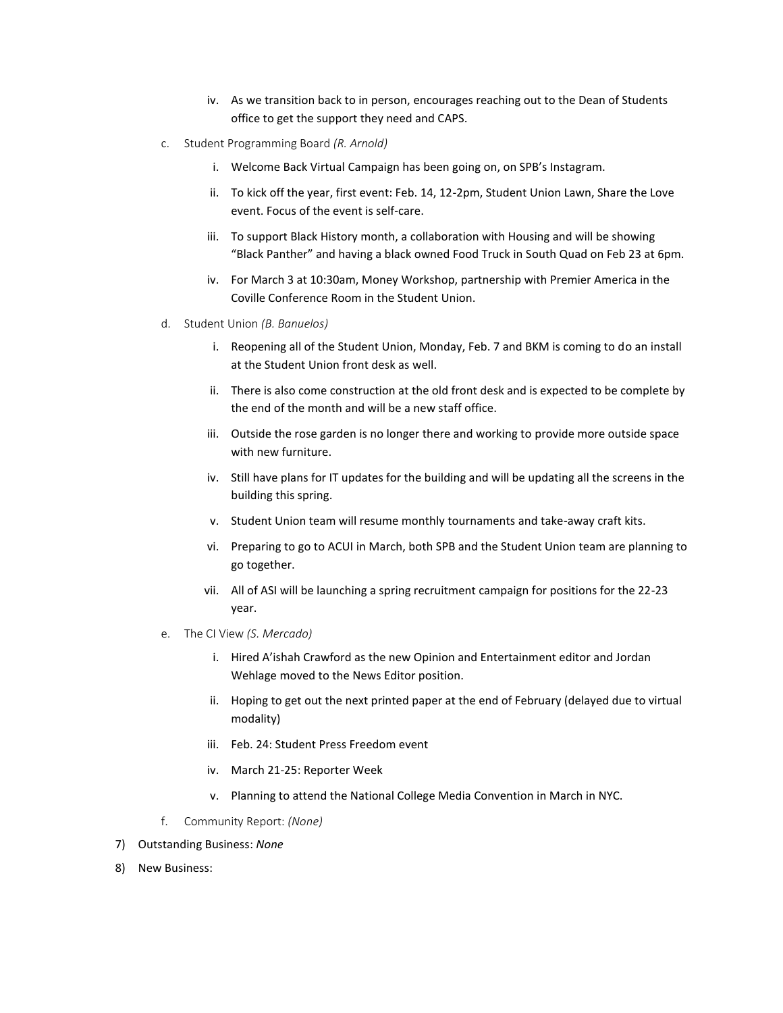- iv. As we transition back to in person, encourages reaching out to the Dean of Students office to get the support they need and CAPS.
- c. Student Programming Board *(R. Arnold)*
	- i. Welcome Back Virtual Campaign has been going on, on SPB's Instagram.
	- ii. To kick off the year, first event: Feb. 14, 12-2pm, Student Union Lawn, Share the Love event. Focus of the event is self-care.
	- iii. To support Black History month, a collaboration with Housing and will be showing "Black Panther" and having a black owned Food Truck in South Quad on Feb 23 at 6pm.
	- iv. For March 3 at 10:30am, Money Workshop, partnership with Premier America in the Coville Conference Room in the Student Union.
- d. Student Union *(B. Banuelos)*
	- i. Reopening all of the Student Union, Monday, Feb. 7 and BKM is coming to do an install at the Student Union front desk as well.
	- ii. There is also come construction at the old front desk and is expected to be complete by the end of the month and will be a new staff office.
	- iii. Outside the rose garden is no longer there and working to provide more outside space with new furniture.
	- iv. Still have plans for IT updates for the building and will be updating all the screens in the building this spring.
	- v. Student Union team will resume monthly tournaments and take-away craft kits.
	- vi. Preparing to go to ACUI in March, both SPB and the Student Union team are planning to go together.
	- vii. All of ASI will be launching a spring recruitment campaign for positions for the 22-23 year.
- e. The CI View *(S. Mercado)*
	- i. Hired A'ishah Crawford as the new Opinion and Entertainment editor and Jordan Wehlage moved to the News Editor position.
	- ii. Hoping to get out the next printed paper at the end of February (delayed due to virtual modality)
	- iii. Feb. 24: Student Press Freedom event
	- iv. March 21-25: Reporter Week
	- v. Planning to attend the National College Media Convention in March in NYC.
- f. Community Report: *(None)*
- 7) Outstanding Business: *None*
- 8) New Business: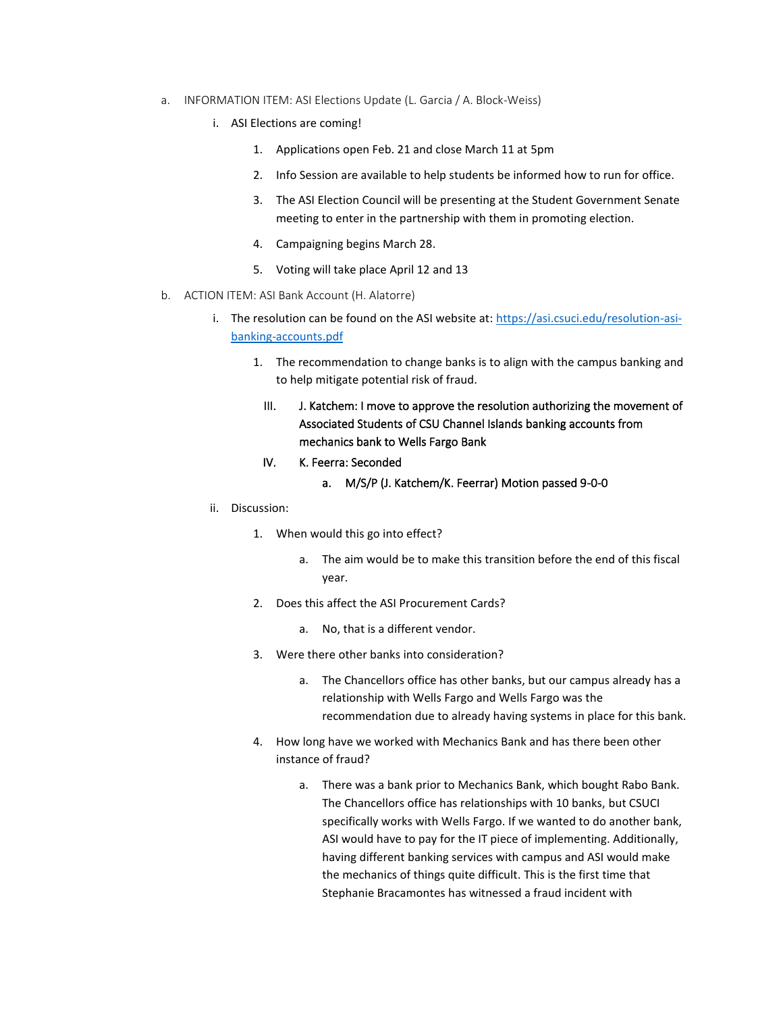- a. INFORMATION ITEM: ASI Elections Update (L. Garcia / A. Block-Weiss)
	- i. ASI Elections are coming!
		- 1. Applications open Feb. 21 and close March 11 at 5pm
		- 2. Info Session are available to help students be informed how to run for office.
		- 3. The ASI Election Council will be presenting at the Student Government Senate meeting to enter in the partnership with them in promoting election.
		- 4. Campaigning begins March 28.
		- 5. Voting will take place April 12 and 13
- b. ACTION ITEM: ASI Bank Account (H. Alatorre)
	- i. The resolution can be found on the ASI website at: [https://asi.csuci.edu/resolution-asi](https://asi.csuci.edu/resolution-asi-banking-accounts.pdf)[banking-accounts.pdf](https://asi.csuci.edu/resolution-asi-banking-accounts.pdf)
		- 1. The recommendation to change banks is to align with the campus banking and to help mitigate potential risk of fraud.
			- III. J. Katchem: I move to approve the resolution authorizing the movement of Associated Students of CSU Channel Islands banking accounts from mechanics bank to Wells Fargo Bank
			- IV. K. Feerra: Seconded
				- a. M/S/P (J. Katchem/K. Feerrar) Motion passed 9-0-0
	- ii. Discussion:
		- 1. When would this go into effect?
			- a. The aim would be to make this transition before the end of this fiscal year.
		- 2. Does this affect the ASI Procurement Cards?
			- a. No, that is a different vendor.
		- 3. Were there other banks into consideration?
			- a. The Chancellors office has other banks, but our campus already has a relationship with Wells Fargo and Wells Fargo was the recommendation due to already having systems in place for this bank.
		- 4. How long have we worked with Mechanics Bank and has there been other instance of fraud?
			- a. There was a bank prior to Mechanics Bank, which bought Rabo Bank. The Chancellors office has relationships with 10 banks, but CSUCI specifically works with Wells Fargo. If we wanted to do another bank, ASI would have to pay for the IT piece of implementing. Additionally, having different banking services with campus and ASI would make the mechanics of things quite difficult. This is the first time that Stephanie Bracamontes has witnessed a fraud incident with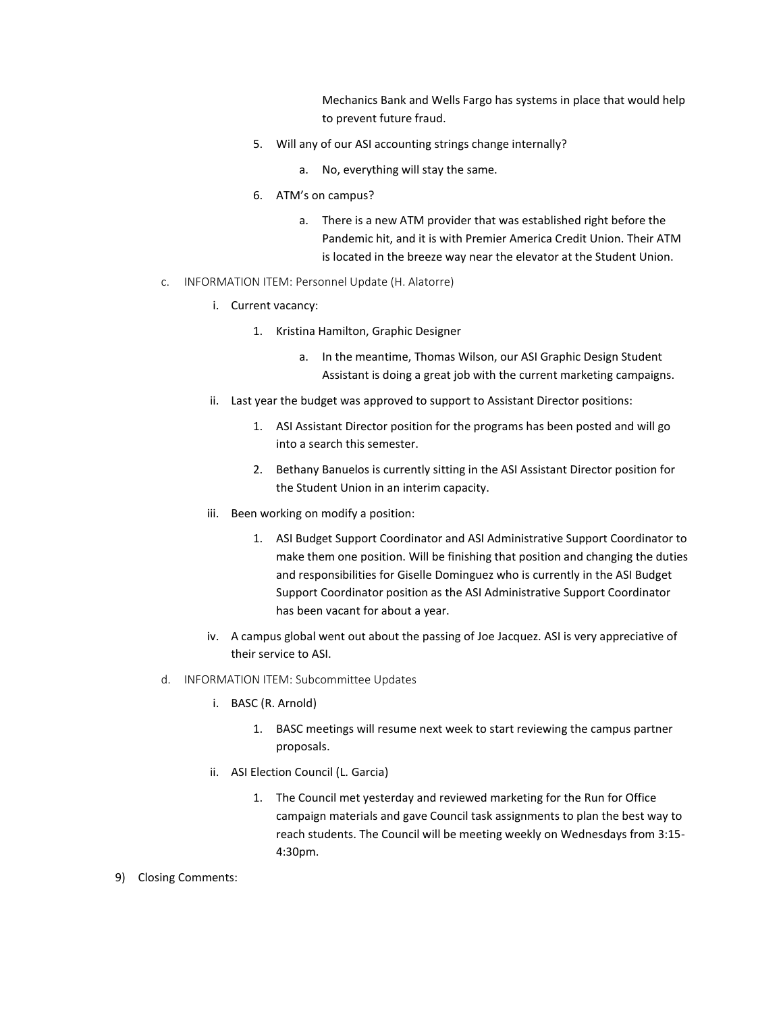Mechanics Bank and Wells Fargo has systems in place that would help to prevent future fraud.

- 5. Will any of our ASI accounting strings change internally?
	- a. No, everything will stay the same.
- 6. ATM's on campus?
	- a. There is a new ATM provider that was established right before the Pandemic hit, and it is with Premier America Credit Union. Their ATM is located in the breeze way near the elevator at the Student Union.
- c. INFORMATION ITEM: Personnel Update (H. Alatorre)
	- i. Current vacancy:
		- 1. Kristina Hamilton, Graphic Designer
			- a. In the meantime, Thomas Wilson, our ASI Graphic Design Student Assistant is doing a great job with the current marketing campaigns.
	- ii. Last year the budget was approved to support to Assistant Director positions:
		- 1. ASI Assistant Director position for the programs has been posted and will go into a search this semester.
		- 2. Bethany Banuelos is currently sitting in the ASI Assistant Director position for the Student Union in an interim capacity.
	- iii. Been working on modify a position:
		- 1. ASI Budget Support Coordinator and ASI Administrative Support Coordinator to make them one position. Will be finishing that position and changing the duties and responsibilities for Giselle Dominguez who is currently in the ASI Budget Support Coordinator position as the ASI Administrative Support Coordinator has been vacant for about a year.
	- iv. A campus global went out about the passing of Joe Jacquez. ASI is very appreciative of their service to ASI.
- d. INFORMATION ITEM: Subcommittee Updates
	- i. BASC (R. Arnold)
		- 1. BASC meetings will resume next week to start reviewing the campus partner proposals.
	- ii. ASI Election Council (L. Garcia)
		- 1. The Council met yesterday and reviewed marketing for the Run for Office campaign materials and gave Council task assignments to plan the best way to reach students. The Council will be meeting weekly on Wednesdays from 3:15- 4:30pm.
- 9) Closing Comments: